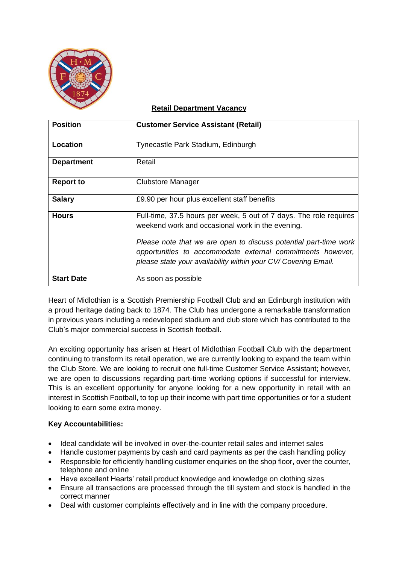

## **Retail Department Vacancy**

| <b>Position</b>   | <b>Customer Service Assistant (Retail)</b>                                                                                                                                                       |
|-------------------|--------------------------------------------------------------------------------------------------------------------------------------------------------------------------------------------------|
|                   |                                                                                                                                                                                                  |
| Location          | Tynecastle Park Stadium, Edinburgh                                                                                                                                                               |
| <b>Department</b> | Retail                                                                                                                                                                                           |
| <b>Report to</b>  | Clubstore Manager                                                                                                                                                                                |
| <b>Salary</b>     | £9.90 per hour plus excellent staff benefits                                                                                                                                                     |
| <b>Hours</b>      | Full-time, 37.5 hours per week, 5 out of 7 days. The role requires<br>weekend work and occasional work in the evening.                                                                           |
|                   | Please note that we are open to discuss potential part-time work<br>opportunities to accommodate external commitments however,<br>please state your availability within your CV/ Covering Email. |
| <b>Start Date</b> | As soon as possible                                                                                                                                                                              |

Heart of Midlothian is a Scottish Premiership Football Club and an Edinburgh institution with a proud heritage dating back to 1874. The Club has undergone a remarkable transformation in previous years including a redeveloped stadium and club store which has contributed to the Club's major commercial success in Scottish football.

An exciting opportunity has arisen at Heart of Midlothian Football Club with the department continuing to transform its retail operation, we are currently looking to expand the team within the Club Store. We are looking to recruit one full-time Customer Service Assistant; however, we are open to discussions regarding part-time working options if successful for interview. This is an excellent opportunity for anyone looking for a new opportunity in retail with an interest in Scottish Football, to top up their income with part time opportunities or for a student looking to earn some extra money.

## **Key Accountabilities:**

- Ideal candidate will be involved in over-the-counter retail sales and internet sales
- Handle customer payments by cash and card payments as per the cash handling policy
- Responsible for efficiently handling customer enquiries on the shop floor, over the counter, telephone and online
- Have excellent Hearts' retail product knowledge and knowledge on clothing sizes
- Ensure all transactions are processed through the till system and stock is handled in the correct manner
- Deal with customer complaints effectively and in line with the company procedure.